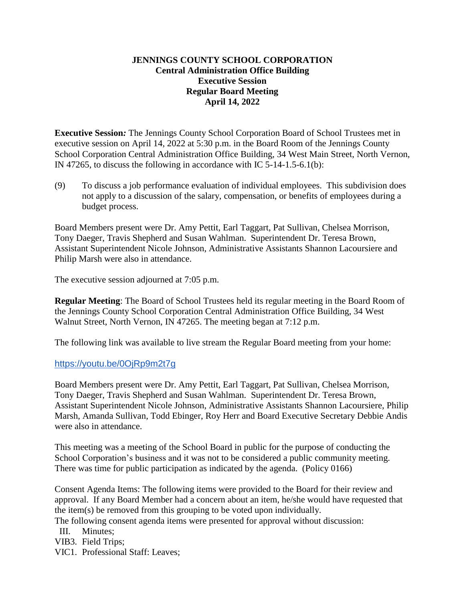# **JENNINGS COUNTY SCHOOL CORPORATION Central Administration Office Building Executive Session Regular Board Meeting April 14, 2022**

**Executive Session***:* The Jennings County School Corporation Board of School Trustees met in executive session on April 14, 2022 at 5:30 p.m. in the Board Room of the Jennings County School Corporation Central Administration Office Building, 34 West Main Street, North Vernon, IN 47265, to discuss the following in accordance with IC 5-14-1.5-6.1(b):

(9) To discuss a job performance evaluation of individual employees. This subdivision does not apply to a discussion of the salary, compensation, or benefits of employees during a budget process.

Board Members present were Dr. Amy Pettit, Earl Taggart, Pat Sullivan, Chelsea Morrison, Tony Daeger, Travis Shepherd and Susan Wahlman. Superintendent Dr. Teresa Brown, Assistant Superintendent Nicole Johnson, Administrative Assistants Shannon Lacoursiere and Philip Marsh were also in attendance.

The executive session adjourned at 7:05 p.m.

**Regular Meeting**: The Board of School Trustees held its regular meeting in the Board Room of the Jennings County School Corporation Central Administration Office Building, 34 West Walnut Street, North Vernon, IN 47265. The meeting began at 7:12 p.m.

The following link was available to live stream the Regular Board meeting from your home:

# <https://youtu.be/0OjRp9m2t7g>

Board Members present were Dr. Amy Pettit, Earl Taggart, Pat Sullivan, Chelsea Morrison, Tony Daeger, Travis Shepherd and Susan Wahlman. Superintendent Dr. Teresa Brown, Assistant Superintendent Nicole Johnson, Administrative Assistants Shannon Lacoursiere, Philip Marsh, Amanda Sullivan, Todd Ebinger, Roy Herr and Board Executive Secretary Debbie Andis were also in attendance.

This meeting was a meeting of the School Board in public for the purpose of conducting the School Corporation's business and it was not to be considered a public community meeting. There was time for public participation as indicated by the agenda. (Policy 0166)

Consent Agenda Items: The following items were provided to the Board for their review and approval. If any Board Member had a concern about an item, he/she would have requested that the item(s) be removed from this grouping to be voted upon individually.

The following consent agenda items were presented for approval without discussion:

III. Minutes;

VIB3. Field Trips;

VIC1. Professional Staff: Leaves;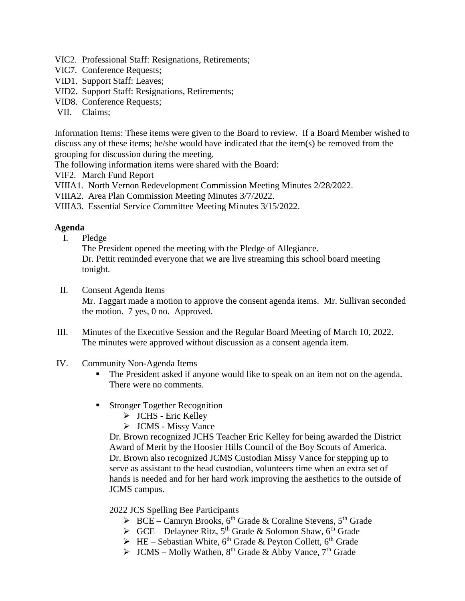- VIC2. Professional Staff: Resignations, Retirements;
- VIC7. Conference Requests;
- VID1. Support Staff: Leaves;
- VID2. Support Staff: Resignations, Retirements;
- VID8. Conference Requests;
- VII. Claims;

Information Items: These items were given to the Board to review. If a Board Member wished to discuss any of these items; he/she would have indicated that the item(s) be removed from the grouping for discussion during the meeting.

The following information items were shared with the Board:

VIF2. March Fund Report

VIIIA1. North Vernon Redevelopment Commission Meeting Minutes 2/28/2022.

VIIIA2. Area Plan Commission Meeting Minutes 3/7/2022.

VIIIA3. Essential Service Committee Meeting Minutes 3/15/2022.

# **Agenda**

I. Pledge

The President opened the meeting with the Pledge of Allegiance. Dr. Pettit reminded everyone that we are live streaming this school board meeting tonight.

- II. Consent Agenda Items Mr. Taggart made a motion to approve the consent agenda items. Mr. Sullivan seconded the motion. 7 yes, 0 no. Approved.
- III. Minutes of the Executive Session and the Regular Board Meeting of March 10, 2022. The minutes were approved without discussion as a consent agenda item.
- IV. Community Non-Agenda Items
	- The President asked if anyone would like to speak on an item not on the agenda. There were no comments.
	- **Stronger Together Recognition** 
		- $\triangleright$  JCHS Eric Kelley
		- > JCMS Missy Vance

Dr. Brown recognized JCHS Teacher Eric Kelley for being awarded the District Award of Merit by the Hoosier Hills Council of the Boy Scouts of America. Dr. Brown also recognized JCMS Custodian Missy Vance for stepping up to serve as assistant to the head custodian, volunteers time when an extra set of hands is needed and for her hard work improving the aesthetics to the outside of JCMS campus.

# 2022 JCS Spelling Bee Participants

- $\triangleright$  BCE Camryn Brooks, 6<sup>th</sup> Grade & Coraline Stevens, 5<sup>th</sup> Grade
- $\triangleright$  GCE Delaynee Ritz, 5<sup>th</sup> Grade & Solomon Shaw, 6<sup>th</sup> Grade
- $\triangleright$  HE Sebastian White, 6<sup>th</sup> Grade & Peyton Collett, 6<sup>th</sup> Grade
- $\triangleright$  JCMS Molly Wathen, 8<sup>th</sup> Grade & Abby Vance, 7<sup>th</sup> Grade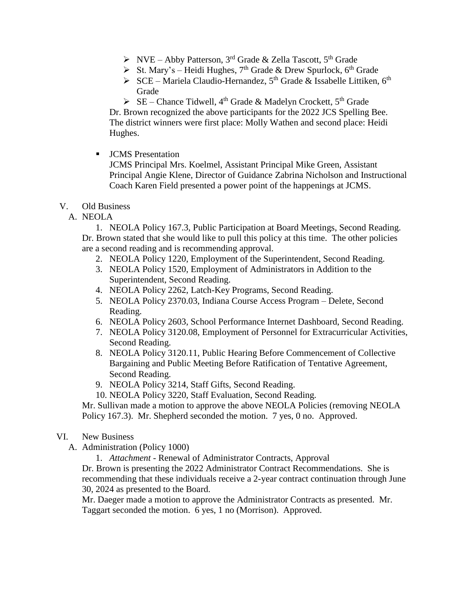- $\triangleright$  NVE Abby Patterson, 3<sup>rd</sup> Grade & Zella Tascott, 5<sup>th</sup> Grade
- $\triangleright$  St. Mary's Heidi Hughes, 7<sup>th</sup> Grade & Drew Spurlock, 6<sup>th</sup> Grade
- $\triangleright$  SCE Mariela Claudio-Hernandez, 5<sup>th</sup> Grade & Issabelle Littiken, 6<sup>th</sup> Grade
- $\triangleright$  SE Chance Tidwell, 4<sup>th</sup> Grade & Madelyn Crockett, 5<sup>th</sup> Grade

Dr. Brown recognized the above participants for the 2022 JCS Spelling Bee. The district winners were first place: Molly Wathen and second place: Heidi Hughes.

**JCMS** Presentation

JCMS Principal Mrs. Koelmel, Assistant Principal Mike Green, Assistant Principal Angie Klene, Director of Guidance Zabrina Nicholson and Instructional Coach Karen Field presented a power point of the happenings at JCMS.

- V. Old Business
	- A. NEOLA

1. NEOLA Policy 167.3, Public Participation at Board Meetings, Second Reading. Dr. Brown stated that she would like to pull this policy at this time. The other policies are a second reading and is recommending approval.

- 2. NEOLA Policy 1220, Employment of the Superintendent, Second Reading.
- 3. NEOLA Policy 1520, Employment of Administrators in Addition to the Superintendent, Second Reading.
- 4. NEOLA Policy 2262, Latch-Key Programs, Second Reading.
- 5. NEOLA Policy 2370.03, Indiana Course Access Program Delete, Second Reading.
- 6. NEOLA Policy 2603, School Performance Internet Dashboard, Second Reading.
- 7. NEOLA Policy 3120.08, Employment of Personnel for Extracurricular Activities, Second Reading.
- 8. NEOLA Policy 3120.11, Public Hearing Before Commencement of Collective Bargaining and Public Meeting Before Ratification of Tentative Agreement, Second Reading.
- 9. NEOLA Policy 3214, Staff Gifts, Second Reading.
- 10. NEOLA Policy 3220, Staff Evaluation, Second Reading.

Mr. Sullivan made a motion to approve the above NEOLA Policies (removing NEOLA Policy 167.3). Mr. Shepherd seconded the motion. 7 yes, 0 no. Approved.

- VI. New Business
	- A. Administration (Policy 1000)
		- 1. *Attachment -* Renewal of Administrator Contracts, Approval

Dr. Brown is presenting the 2022 Administrator Contract Recommendations. She is recommending that these individuals receive a 2-year contract continuation through June 30, 2024 as presented to the Board.

Mr. Daeger made a motion to approve the Administrator Contracts as presented. Mr. Taggart seconded the motion. 6 yes, 1 no (Morrison). Approved.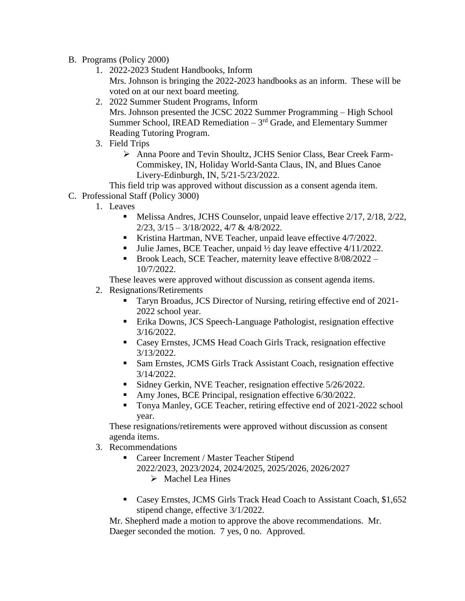- B. Programs (Policy 2000)
	- 1. 2022-2023 Student Handbooks, Inform Mrs. Johnson is bringing the 2022-2023 handbooks as an inform. These will be voted on at our next board meeting.
	- 2. 2022 Summer Student Programs, Inform Mrs. Johnson presented the JCSC 2022 Summer Programming – High School Summer School, IREAD Remediation  $-3<sup>rd</sup>$  Grade, and Elementary Summer Reading Tutoring Program.
	- 3. Field Trips
		- Anna Poore and Tevin Shoultz, JCHS Senior Class, Bear Creek Farm-Commiskey, IN, Holiday World-Santa Claus, IN, and Blues Canoe Livery-Edinburgh, IN, 5/21-5/23/2022.
- This field trip was approved without discussion as a consent agenda item.
- C. Professional Staff (Policy 3000)
	- 1. Leaves
		- Melissa Andres, JCHS Counselor, unpaid leave effective 2/17, 2/18, 2/22, 2/23, 3/15 – 3/18/2022, 4/7 & 4/8/2022.
		- Kristina Hartman, NVE Teacher, unpaid leave effective 4/7/2022.
		- Julie James, BCE Teacher, unpaid  $\frac{1}{2}$  day leave effective 4/11/2022.
		- Brook Leach, SCE Teacher, maternity leave effective 8/08/2022 -10/7/2022.

These leaves were approved without discussion as consent agenda items.

- 2. Resignations/Retirements
	- Taryn Broadus, JCS Director of Nursing, retiring effective end of 2021- 2022 school year.
	- Erika Downs, JCS Speech-Language Pathologist, resignation effective 3/16/2022.
	- Casey Ernstes, JCMS Head Coach Girls Track, resignation effective 3/13/2022.
	- Sam Ernstes, JCMS Girls Track Assistant Coach, resignation effective 3/14/2022.
	- Sidney Gerkin, NVE Teacher, resignation effective  $5/26/2022$ .
	- Amy Jones, BCE Principal, resignation effective 6/30/2022.
	- Tonya Manley, GCE Teacher, retiring effective end of 2021-2022 school year.

These resignations/retirements were approved without discussion as consent agenda items.

- 3. Recommendations
	- Career Increment / Master Teacher Stipend 2022/2023, 2023/2024, 2024/2025, 2025/2026, 2026/2027  $\triangleright$  Machel Lea Hines
	- Casey Ernstes, JCMS Girls Track Head Coach to Assistant Coach, \$1,652 stipend change, effective 3/1/2022.

Mr. Shepherd made a motion to approve the above recommendations. Mr. Daeger seconded the motion. 7 yes, 0 no. Approved.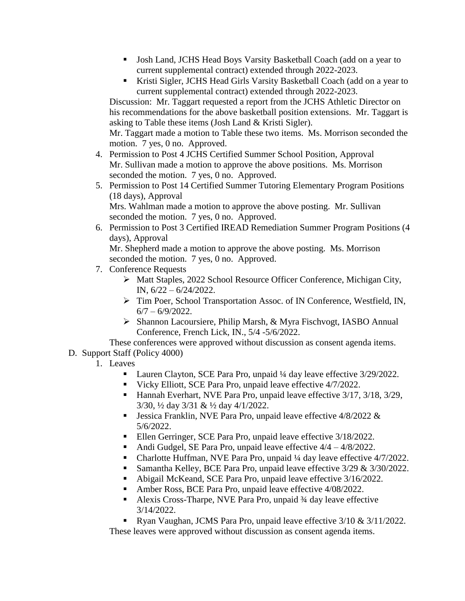- Josh Land, JCHS Head Boys Varsity Basketball Coach (add on a year to current supplemental contract) extended through 2022-2023.
- Kristi Sigler, JCHS Head Girls Varsity Basketball Coach (add on a year to current supplemental contract) extended through 2022-2023.

Discussion: Mr. Taggart requested a report from the JCHS Athletic Director on his recommendations for the above basketball position extensions. Mr. Taggart is asking to Table these items (Josh Land & Kristi Sigler).

Mr. Taggart made a motion to Table these two items. Ms. Morrison seconded the motion. 7 yes, 0 no. Approved.

- 4. Permission to Post 4 JCHS Certified Summer School Position, Approval Mr. Sullivan made a motion to approve the above positions. Ms. Morrison seconded the motion. 7 yes, 0 no. Approved.
- 5. Permission to Post 14 Certified Summer Tutoring Elementary Program Positions (18 days), Approval Mrs. Wahlman made a motion to approve the above posting. Mr. Sullivan
- seconded the motion. 7 yes, 0 no. Approved. 6. Permission to Post 3 Certified IREAD Remediation Summer Program Positions (4 days), Approval

Mr. Shepherd made a motion to approve the above posting. Ms. Morrison seconded the motion. 7 yes, 0 no. Approved.

- 7. Conference Requests
	- Matt Staples, 2022 School Resource Officer Conference, Michigan City, IN, 6/22 – 6/24/2022.
	- > Tim Poer, School Transportation Assoc. of IN Conference, Westfield, IN,  $6/7 - 6/9/2022$ .
	- $\triangleright$  Shannon Lacoursiere, Philip Marsh, & Myra Fischvogt, IASBO Annual Conference, French Lick, IN., 5/4 -5/6/2022.

These conferences were approved without discussion as consent agenda items. D. Support Staff (Policy 4000)

1. Leaves

- Lauren Clayton, SCE Para Pro, unpaid ¼ day leave effective 3/29/2022.
- Vicky Elliott, SCE Para Pro, unpaid leave effective 4/7/2022.
- Hannah Everhart, NVE Para Pro, unpaid leave effective  $3/17$ ,  $3/18$ ,  $3/29$ , 3/30, ½ day 3/31 & ½ day 4/1/2022.
- **Jessica Franklin, NVE Para Pro, unpaid leave effective 4/8/2022**  $\&$ 5/6/2022.
- Ellen Gerringer, SCE Para Pro, unpaid leave effective 3/18/2022.
- Andi Gudgel, SE Para Pro, unpaid leave effective 4/4 4/8/2022.
- Charlotte Huffman, NVE Para Pro, unpaid ¼ day leave effective 4/7/2022.
- Samantha Kelley, BCE Para Pro, unpaid leave effective  $3/29 & 3/30/2022$ .
- Abigail McKeand, SCE Para Pro, unpaid leave effective 3/16/2022.
- Amber Ross, BCE Para Pro, unpaid leave effective 4/08/2022.
- Alexis Cross-Tharpe, NVE Para Pro, unpaid ¾ day leave effective 3/14/2022.
- Ryan Vaughan, JCMS Para Pro, unpaid leave effective  $3/10 \& 3/11/2022$ .

These leaves were approved without discussion as consent agenda items.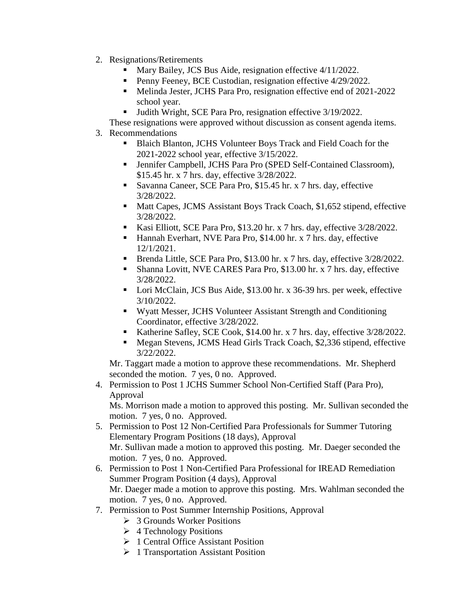- 2. Resignations/Retirements
	- Mary Bailey, JCS Bus Aide, resignation effective 4/11/2022.
	- Penny Feeney, BCE Custodian, resignation effective 4/29/2022.
	- Melinda Jester, JCHS Para Pro, resignation effective end of 2021-2022 school year.
	- Judith Wright, SCE Para Pro, resignation effective 3/19/2022.
	- These resignations were approved without discussion as consent agenda items.
- 3. Recommendations
	- Blaich Blanton, JCHS Volunteer Boys Track and Field Coach for the 2021-2022 school year, effective 3/15/2022.
	- Jennifer Campbell, JCHS Para Pro (SPED Self-Contained Classroom), \$15.45 hr. x 7 hrs. day, effective 3/28/2022.
	- Savanna Caneer, SCE Para Pro, \$15.45 hr. x 7 hrs. day, effective 3/28/2022.
	- Matt Capes, JCMS Assistant Boys Track Coach, \$1,652 stipend, effective 3/28/2022.
	- Kasi Elliott, SCE Para Pro, \$13.20 hr. x 7 hrs. day, effective  $3/28/2022$ .
	- Hannah Everhart, NVE Para Pro, \$14.00 hr. x 7 hrs. day, effective 12/1/2021.
	- Brenda Little, SCE Para Pro, \$13.00 hr. x 7 hrs. day, effective  $3/28/2022$ .
	- Shanna Lovitt, NVE CARES Para Pro, \$13.00 hr. x 7 hrs. day, effective 3/28/2022.
	- Lori McClain, JCS Bus Aide, \$13.00 hr. x 36-39 hrs. per week, effective 3/10/2022.
	- Wyatt Messer, JCHS Volunteer Assistant Strength and Conditioning Coordinator, effective 3/28/2022.
	- Katherine Safley, SCE Cook, \$14.00 hr. x 7 hrs. day, effective  $3/28/2022$ .
	- Megan Stevens, JCMS Head Girls Track Coach, \$2,336 stipend, effective 3/22/2022.

Mr. Taggart made a motion to approve these recommendations. Mr. Shepherd seconded the motion. 7 yes, 0 no. Approved.

4. Permission to Post 1 JCHS Summer School Non-Certified Staff (Para Pro), Approval

Ms. Morrison made a motion to approved this posting. Mr. Sullivan seconded the motion. 7 yes, 0 no. Approved.

- 5. Permission to Post 12 Non-Certified Para Professionals for Summer Tutoring Elementary Program Positions (18 days), Approval Mr. Sullivan made a motion to approved this posting. Mr. Daeger seconded the motion. 7 yes, 0 no. Approved.
- 6. Permission to Post 1 Non-Certified Para Professional for IREAD Remediation Summer Program Position (4 days), Approval Mr. Daeger made a motion to approve this posting. Mrs. Wahlman seconded the motion. 7 yes, 0 no. Approved.
- 7. Permission to Post Summer Internship Positions, Approval
	- 3 Grounds Worker Positions
	- $\triangleright$  4 Technology Positions
	- ▶ 1 Central Office Assistant Position
	- $\geq 1$  Transportation Assistant Position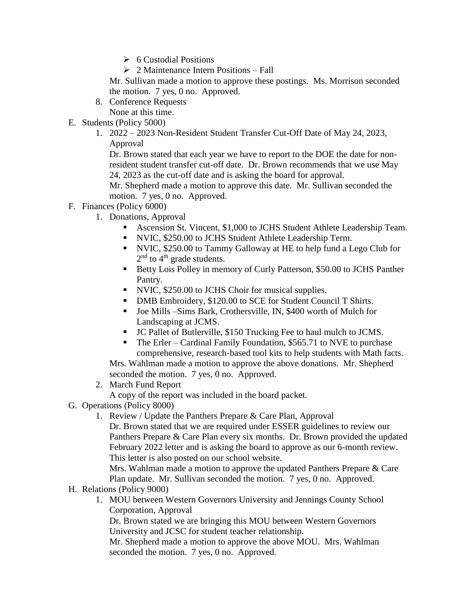- $\geqslant 6$  Custodial Positions
- $\geq 2$  Maintenance Intern Positions Fall

Mr. Sullivan made a motion to approve these postings. Ms. Morrison seconded the motion. 7 yes, 0 no. Approved.

8. Conference Requests

None at this time.

- E. Students (Policy 5000)
	- 1. 2022 2023 Non-Resident Student Transfer Cut-Off Date of May 24, 2023, Approval

Dr. Brown stated that each year we have to report to the DOE the date for nonresident student transfer cut-off date. Dr. Brown recommends that we use May 24, 2023 as the cut-off date and is asking the board for approval.

Mr. Shepherd made a motion to approve this date. Mr. Sullivan seconded the motion. 7 yes, 0 no. Approved.

- F. Finances (Policy 6000)
	- 1. Donations, Approval
		- Ascension St. Vincent, \$1,000 to JCHS Student Athlete Leadership Team.
		- NVIC, \$250.00 to JCHS Student Athlete Leadership Term.
		- NVIC, \$250.00 to Tammy Galloway at HE to help fund a Lego Club for  $2<sup>nd</sup>$  to  $4<sup>th</sup>$  grade students.
		- Betty Lois Polley in memory of Curly Patterson, \$50.00 to JCHS Panther Pantry.
		- NVIC, \$250.00 to JCHS Choir for musical supplies.
		- DMB Embroidery, \$120.00 to SCE for Student Council T Shirts.
		- Joe Mills –Sims Bark, Crothersville, IN, \$400 worth of Mulch for Landscaping at JCMS.
		- JC Pallet of Butlerville, \$150 Trucking Fee to haul mulch to JCMS.

 The Erler – Cardinal Family Foundation, \$565.71 to NVE to purchase comprehensive, research-based tool kits to help students with Math facts. Mrs. Wahlman made a motion to approve the above donations. Mr. Shepherd seconded the motion. 7 yes, 0 no. Approved.

2. March Fund Report

A copy of the report was included in the board packet.

- G. Operations (Policy 8000)
	- 1. Review / Update the Panthers Prepare & Care Plan, Approval
		- Dr. Brown stated that we are required under ESSER guidelines to review our Panthers Prepare & Care Plan every six months. Dr. Brown provided the updated February 2022 letter and is asking the board to approve as our 6-month review. This letter is also posted on our school website.

Mrs. Wahlman made a motion to approve the updated Panthers Prepare & Care Plan update. Mr. Sullivan seconded the motion. 7 yes, 0 no. Approved.

- H. Relations (Policy 9000)
	- 1. MOU between Western Governors University and Jennings County School Corporation, Approval

Dr. Brown stated we are bringing this MOU between Western Governors University and JCSC for student teacher relationship.

Mr. Shepherd made a motion to approve the above MOU. Mrs. Wahlman seconded the motion. 7 yes, 0 no. Approved.